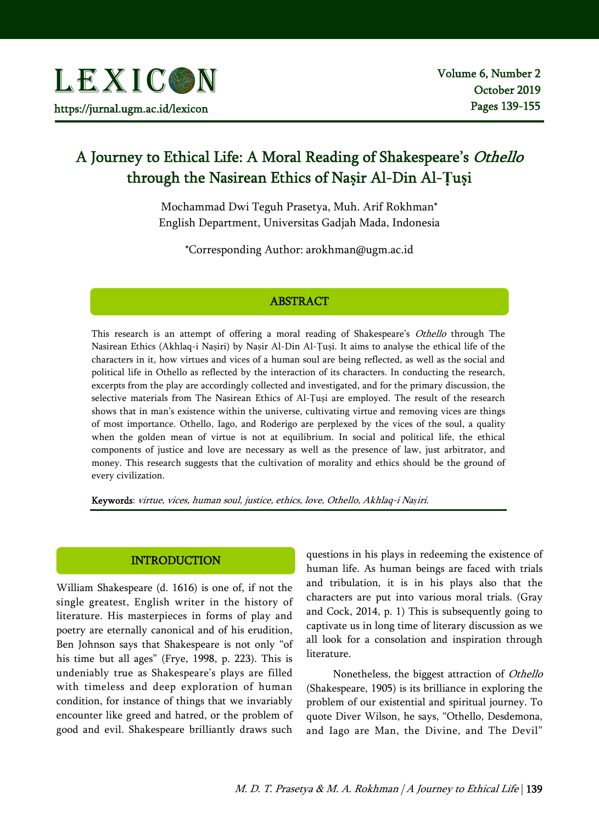# A Journey to Ethical Life: A Moral Reading of Shakespeare's Othello through the Nasirean Ethics of Na**ṣ**ir Al-Din Al-**Ṭ**u**ṣ**i

Mochammad Dwi Teguh Prasetya, Muh. Arif Rokhman\* English Department, Universitas Gadjah Mada, Indonesia

\*Corresponding Author: arokhman@ugm.ac.id

# ABSTRACT

This research is an attempt of offering a moral reading of Shakespeare's Othello through The Nasirean Ethics (Akhlaq-i Naṣiri) by Naṣir Al-Din Al-Ṭuṣi. It aims to analyse the ethical life of the characters in it, how virtues and vices of a human soul are being reflected, as well as the social and political life in Othello as reflected by the interaction of its characters. In conducting the research, excerpts from the play are accordingly collected and investigated, and for the primary discussion, the selective materials from The Nasirean Ethics of Al-Ṭuṣi are employed. The result of the research shows that in man's existence within the universe, cultivating virtue and removing vices are things of most importance. Othello, Iago, and Roderigo are perplexed by the vices of the soul, a quality when the golden mean of virtue is not at equilibrium. In social and political life, the ethical components of justice and love are necessary as well as the presence of law, just arbitrator, and money. This research suggests that the cultivation of morality and ethics should be the ground of every civilization.

Keywords: virtue, vices, human soul, justice, ethics, love, Othello, Akhlaq-i Na*ṣ*iri.

# INTRODUCTION

William Shakespeare (d. 1616) is one of, if not the single greatest, English writer in the history of literature. His masterpieces in forms of play and poetry are eternally canonical and of his erudition, Ben Johnson says that Shakespeare is not only "of his time but all ages" (Frye, 1998, p. 223). This is undeniably true as Shakespeare's plays are filled with timeless and deep exploration of human condition, for instance of things that we invariably encounter like greed and hatred, or the problem of good and evil. Shakespeare brilliantly draws such

questions in his plays in redeeming the existence of human life. As human beings are faced with trials and tribulation, it is in his plays also that the characters are put into various moral trials. (Gray and Cock, 2014, p. 1) This is subsequently going to captivate us in long time of literary discussion as we all look for a consolation and inspiration through literature.

Nonetheless, the biggest attraction of Othello (Shakespeare, 1905) is its brilliance in exploring the problem of our existential and spiritual journey. To quote Diver Wilson, he says, "Othello, Desdemona, and Iago are Man, the Divine, and The Devil"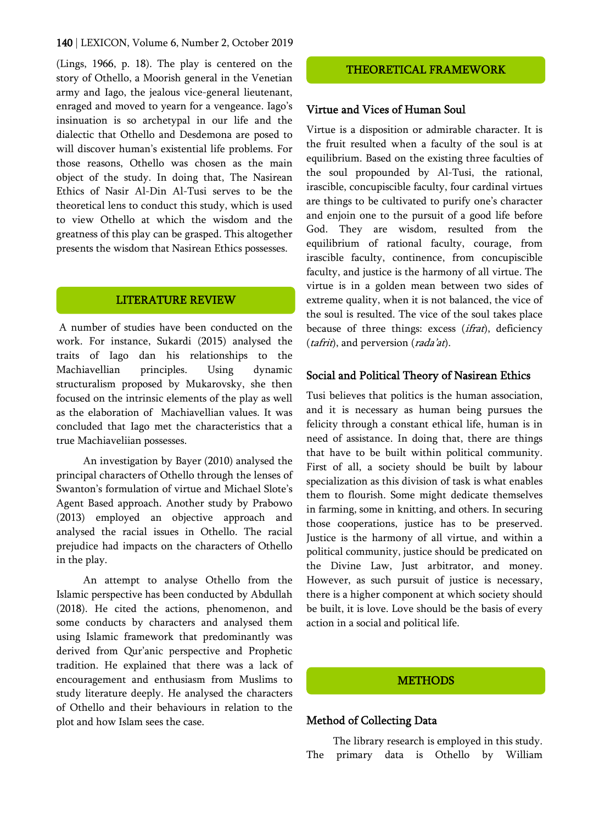(Lings, 1966, p. 18). The play is centered on the story of Othello, a Moorish general in the Venetian army and Iago, the jealous vice-general lieutenant, enraged and moved to yearn for a vengeance. Iago's insinuation is so archetypal in our life and the dialectic that Othello and Desdemona are posed to will discover human's existential life problems. For those reasons, Othello was chosen as the main object of the study. In doing that, The Nasirean Ethics of Nasir Al-Din Al-Tusi serves to be the theoretical lens to conduct this study, which is used to view Othello at which the wisdom and the greatness of this play can be grasped. This altogether presents the wisdom that Nasirean Ethics possesses.

# LITERATURE REVIEW

A number of studies have been conducted on the work. For instance, Sukardi (2015) analysed the traits of Iago dan his relationships to the Machiavellian principles. Using dynamic structuralism proposed by Mukarovsky, she then focused on the intrinsic elements of the play as well as the elaboration of Machiavellian values. It was concluded that Iago met the characteristics that a true Machiaveliian possesses.

An investigation by Bayer (2010) analysed the principal characters of Othello through the lenses of Swanton's formulation of virtue and Michael Slote's Agent Based approach. Another study by Prabowo (2013) employed an objective approach and analysed the racial issues in Othello. The racial prejudice had impacts on the characters of Othello in the play.

An attempt to analyse Othello from the Islamic perspective has been conducted by Abdullah (2018). He cited the actions, phenomenon, and some conducts by characters and analysed them using Islamic framework that predominantly was derived from Qur'anic perspective and Prophetic tradition. He explained that there was a lack of encouragement and enthusiasm from Muslims to study literature deeply. He analysed the characters of Othello and their behaviours in relation to the plot and how Islam sees the case.

# THEORETICAL FRAMEWORK

#### Virtue and Vices of Human Soul

Virtue is a disposition or admirable character. It is the fruit resulted when a faculty of the soul is at equilibrium. Based on the existing three faculties of the soul propounded by Al-Tusi, the rational, irascible, concupiscible faculty, four cardinal virtues are things to be cultivated to purify one's character and enjoin one to the pursuit of a good life before God. They are wisdom, resulted from the equilibrium of rational faculty, courage, from irascible faculty, continence, from concupiscible faculty, and justice is the harmony of all virtue. The virtue is in a golden mean between two sides of extreme quality, when it is not balanced, the vice of the soul is resulted. The vice of the soul takes place because of three things: excess (*ifrat*), deficiency (*tafrit*), and perversion (*rada'at*).

## Social and Political Theory of Nasirean Ethics

Tusi believes that politics is the human association, and it is necessary as human being pursues the felicity through a constant ethical life, human is in need of assistance. In doing that, there are things that have to be built within political community. First of all, a society should be built by labour specialization as this division of task is what enables them to flourish. Some might dedicate themselves in farming, some in knitting, and others. In securing those cooperations, justice has to be preserved. Justice is the harmony of all virtue, and within a political community, justice should be predicated on the Divine Law, Just arbitrator, and money. However, as such pursuit of justice is necessary, there is a higher component at which society should be built, it is love. Love should be the basis of every action in a social and political life.

## **METHODS**

## Method of Collecting Data

The library research is employed in this study. The primary data is Othello by William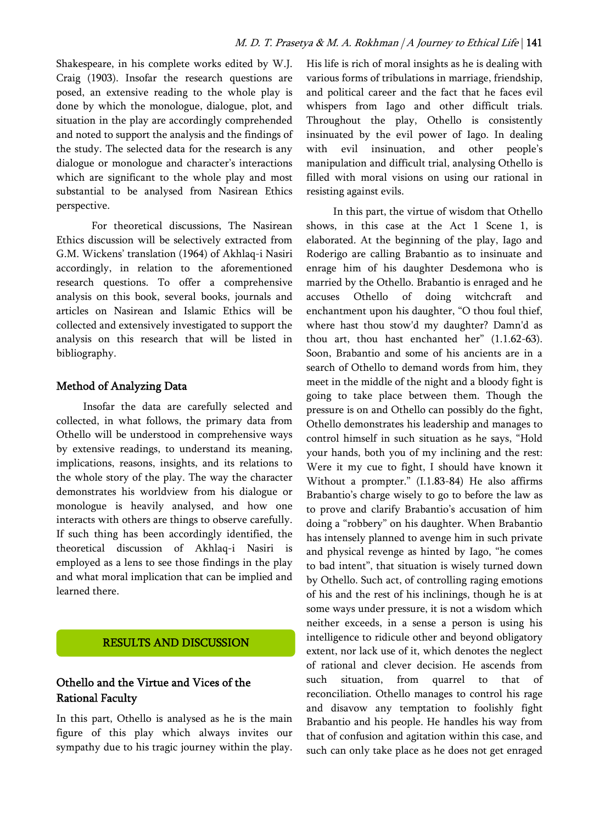Shakespeare, in his complete works edited by W.J. Craig (1903). Insofar the research questions are posed, an extensive reading to the whole play is done by which the monologue, dialogue, plot, and situation in the play are accordingly comprehended and noted to support the analysis and the findings of the study. The selected data for the research is any dialogue or monologue and character's interactions which are significant to the whole play and most substantial to be analysed from Nasirean Ethics perspective.

For theoretical discussions, The Nasirean Ethics discussion will be selectively extracted from G.M. Wickens' translation (1964) of Akhlaq-i Nasiri accordingly, in relation to the aforementioned research questions. To offer a comprehensive analysis on this book, several books, journals and articles on Nasirean and Islamic Ethics will be collected and extensively investigated to support the analysis on this research that will be listed in bibliography.

# Method of Analyzing Data

Insofar the data are carefully selected and collected, in what follows, the primary data from Othello will be understood in comprehensive ways by extensive readings, to understand its meaning, implications, reasons, insights, and its relations to the whole story of the play. The way the character demonstrates his worldview from his dialogue or monologue is heavily analysed, and how one interacts with others are things to observe carefully. If such thing has been accordingly identified, the theoretical discussion of Akhlaq-i Nasiri is employed as a lens to see those findings in the play and what moral implication that can be implied and learned there.

## RESULTS AND DISCUSSION

# Othello and the Virtue and Vices of the Rational Faculty

In this part, Othello is analysed as he is the main figure of this play which always invites our sympathy due to his tragic journey within the play. His life is rich of moral insights as he is dealing with various forms of tribulations in marriage, friendship, and political career and the fact that he faces evil whispers from Iago and other difficult trials. Throughout the play, Othello is consistently insinuated by the evil power of Iago. In dealing with evil insinuation, and other people's manipulation and difficult trial, analysing Othello is filled with moral visions on using our rational in resisting against evils.

In this part, the virtue of wisdom that Othello shows, in this case at the Act 1 Scene 1, is elaborated. At the beginning of the play, Iago and Roderigo are calling Brabantio as to insinuate and enrage him of his daughter Desdemona who is married by the Othello. Brabantio is enraged and he accuses Othello of doing witchcraft and enchantment upon his daughter, "O thou foul thief, where hast thou stow'd my daughter? Damn'd as thou art, thou hast enchanted her" (1.1.62-63). Soon, Brabantio and some of his ancients are in a search of Othello to demand words from him, they meet in the middle of the night and a bloody fight is going to take place between them. Though the pressure is on and Othello can possibly do the fight, Othello demonstrates his leadership and manages to control himself in such situation as he says, "Hold your hands, both you of my inclining and the rest: Were it my cue to fight, I should have known it Without a prompter." (I.1.83-84) He also affirms Brabantio's charge wisely to go to before the law as to prove and clarify Brabantio's accusation of him doing a "robbery" on his daughter. When Brabantio has intensely planned to avenge him in such private and physical revenge as hinted by Iago, "he comes to bad intent", that situation is wisely turned down by Othello. Such act, of controlling raging emotions of his and the rest of his inclinings, though he is at some ways under pressure, it is not a wisdom which neither exceeds, in a sense a person is using his intelligence to ridicule other and beyond obligatory extent, nor lack use of it, which denotes the neglect of rational and clever decision. He ascends from such situation, from quarrel to that of reconciliation. Othello manages to control his rage and disavow any temptation to foolishly fight Brabantio and his people. He handles his way from that of confusion and agitation within this case, and such can only take place as he does not get enraged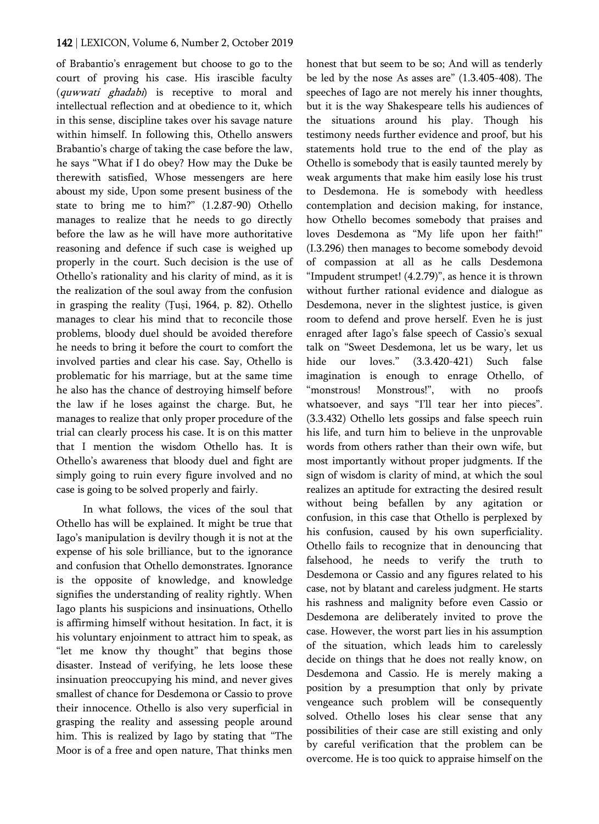of Brabantio's enragement but choose to go to the court of proving his case. His irascible faculty (quwwati ghadabi) is receptive to moral and intellectual reflection and at obedience to it, which in this sense, discipline takes over his savage nature within himself. In following this, Othello answers Brabantio's charge of taking the case before the law, he says "What if I do obey? How may the Duke be therewith satisfied, Whose messengers are here aboust my side, Upon some present business of the state to bring me to him?" (1.2.87-90) Othello manages to realize that he needs to go directly before the law as he will have more authoritative reasoning and defence if such case is weighed up properly in the court. Such decision is the use of Othello's rationality and his clarity of mind, as it is the realization of the soul away from the confusion in grasping the reality (Ṭuṣi, 1964, p. 82). Othello manages to clear his mind that to reconcile those problems, bloody duel should be avoided therefore he needs to bring it before the court to comfort the involved parties and clear his case. Say, Othello is problematic for his marriage, but at the same time he also has the chance of destroying himself before the law if he loses against the charge. But, he manages to realize that only proper procedure of the trial can clearly process his case. It is on this matter that I mention the wisdom Othello has. It is Othello's awareness that bloody duel and fight are simply going to ruin every figure involved and no case is going to be solved properly and fairly.

In what follows, the vices of the soul that Othello has will be explained. It might be true that Iago's manipulation is devilry though it is not at the expense of his sole brilliance, but to the ignorance and confusion that Othello demonstrates. Ignorance is the opposite of knowledge, and knowledge signifies the understanding of reality rightly. When Iago plants his suspicions and insinuations, Othello is affirming himself without hesitation. In fact, it is his voluntary enjoinment to attract him to speak, as "let me know thy thought" that begins those disaster. Instead of verifying, he lets loose these insinuation preoccupying his mind, and never gives smallest of chance for Desdemona or Cassio to prove their innocence. Othello is also very superficial in grasping the reality and assessing people around him. This is realized by Iago by stating that "The Moor is of a free and open nature, That thinks men honest that but seem to be so; And will as tenderly be led by the nose As asses are" (1.3.405-408). The speeches of Iago are not merely his inner thoughts, but it is the way Shakespeare tells his audiences of the situations around his play. Though his testimony needs further evidence and proof, but his statements hold true to the end of the play as Othello is somebody that is easily taunted merely by weak arguments that make him easily lose his trust to Desdemona. He is somebody with heedless contemplation and decision making, for instance, how Othello becomes somebody that praises and loves Desdemona as "My life upon her faith!" (I.3.296) then manages to become somebody devoid of compassion at all as he calls Desdemona "Impudent strumpet! (4.2.79)", as hence it is thrown without further rational evidence and dialogue as Desdemona, never in the slightest justice, is given room to defend and prove herself. Even he is just enraged after Iago's false speech of Cassio's sexual talk on "Sweet Desdemona, let us be wary, let us hide our loves." (3.3.420-421) Such false imagination is enough to enrage Othello, of "monstrous! Monstrous!", with no proofs whatsoever, and says "I'll tear her into pieces". (3.3.432) Othello lets gossips and false speech ruin his life, and turn him to believe in the unprovable words from others rather than their own wife, but most importantly without proper judgments. If the sign of wisdom is clarity of mind, at which the soul realizes an aptitude for extracting the desired result without being befallen by any agitation or confusion, in this case that Othello is perplexed by his confusion, caused by his own superficiality. Othello fails to recognize that in denouncing that falsehood, he needs to verify the truth to Desdemona or Cassio and any figures related to his case, not by blatant and careless judgment. He starts his rashness and malignity before even Cassio or Desdemona are deliberately invited to prove the case. However, the worst part lies in his assumption of the situation, which leads him to carelessly decide on things that he does not really know, on Desdemona and Cassio. He is merely making a position by a presumption that only by private vengeance such problem will be consequently solved. Othello loses his clear sense that any possibilities of their case are still existing and only by careful verification that the problem can be overcome. He is too quick to appraise himself on the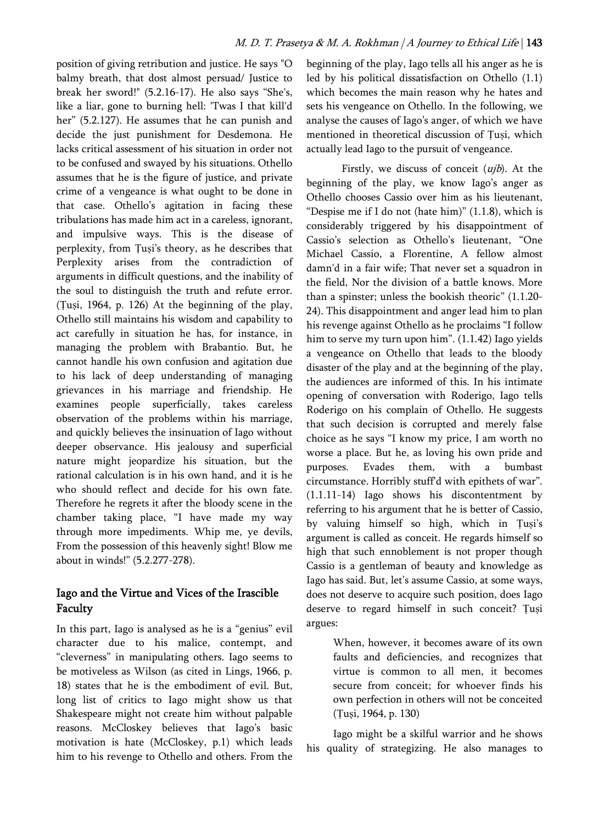position of giving retribution and justice. He says "O balmy breath, that dost almost persuad/ Justice to break her sword!" (5.2.16-17). He also says "She's, like a liar, gone to burning hell: 'Twas I that kill'd her" (5.2.127). He assumes that he can punish and decide the just punishment for Desdemona. He lacks critical assessment of his situation in order not to be confused and swayed by his situations. Othello assumes that he is the figure of justice, and private crime of a vengeance is what ought to be done in that case. Othello's agitation in facing these tribulations has made him act in a careless, ignorant, and impulsive ways. This is the disease of perplexity, from Ṭuṣi's theory, as he describes that Perplexity arises from the contradiction of arguments in difficult questions, and the inability of the soul to distinguish the truth and refute error. (Ṭuṣi, 1964, p. 126) At the beginning of the play, Othello still maintains his wisdom and capability to act carefully in situation he has, for instance, in managing the problem with Brabantio. But, he cannot handle his own confusion and agitation due to his lack of deep understanding of managing grievances in his marriage and friendship. He examines people superficially, takes careless observation of the problems within his marriage, and quickly believes the insinuation of Iago without deeper observance. His jealousy and superficial nature might jeopardize his situation, but the rational calculation is in his own hand, and it is he who should reflect and decide for his own fate. Therefore he regrets it after the bloody scene in the chamber taking place, "I have made my way through more impediments. Whip me, ye devils, From the possession of this heavenly sight! Blow me about in winds!" (5.2.277-278).

# Iago and the Virtue and Vices of the Irascible Faculty

In this part, Iago is analysed as he is a "genius" evil character due to his malice, contempt, and "cleverness" in manipulating others. Iago seems to be motiveless as Wilson (as cited in Lings, 1966, p. 18) states that he is the embodiment of evil. But, long list of critics to Iago might show us that Shakespeare might not create him without palpable reasons. McCloskey believes that Iago's basic motivation is hate (McCloskey, p.1) which leads him to his revenge to Othello and others. From the

beginning of the play, Iago tells all his anger as he is led by his political dissatisfaction on Othello (1.1) which becomes the main reason why he hates and sets his vengeance on Othello. In the following, we analyse the causes of Iago's anger, of which we have mentioned in theoretical discussion of Ṭuṣi, which actually lead Iago to the pursuit of vengeance.

Firstly, we discuss of conceit  $(uib)$ . At the beginning of the play, we know Iago's anger as Othello chooses Cassio over him as his lieutenant, "Despise me if I do not (hate him)" (1.1.8), which is considerably triggered by his disappointment of Cassio's selection as Othello's lieutenant, "One Michael Cassio, a Florentine, A fellow almost damn'd in a fair wife; That never set a squadron in the field, Nor the division of a battle knows. More than a spinster; unless the bookish theoric" (1.1.20- 24). This disappointment and anger lead him to plan his revenge against Othello as he proclaims "I follow him to serve my turn upon him". (1.1.42) Iago yields a vengeance on Othello that leads to the bloody disaster of the play and at the beginning of the play, the audiences are informed of this. In his intimate opening of conversation with Roderigo, Iago tells Roderigo on his complain of Othello. He suggests that such decision is corrupted and merely false choice as he says "I know my price, I am worth no worse a place. But he, as loving his own pride and purposes. Evades them, with a bumbast circumstance. Horribly stuff'd with epithets of war". (1.1.11-14) Iago shows his discontentment by referring to his argument that he is better of Cassio, by valuing himself so high, which in Ṭuṣi's argument is called as conceit. He regards himself so high that such ennoblement is not proper though Cassio is a gentleman of beauty and knowledge as Iago has said. But, let's assume Cassio, at some ways, does not deserve to acquire such position, does Iago deserve to regard himself in such conceit? Ṭuṣi argues:

> When, however, it becomes aware of its own faults and deficiencies, and recognizes that virtue is common to all men, it becomes secure from conceit; for whoever finds his own perfection in others will not be conceited (Ṭuṣi, 1964, p. 130)

Iago might be a skilful warrior and he shows his quality of strategizing. He also manages to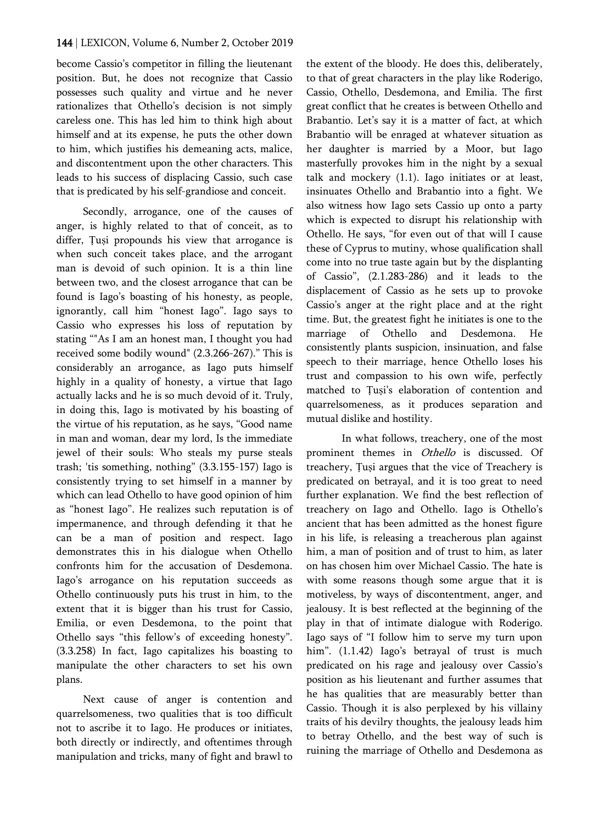become Cassio's competitor in filling the lieutenant position. But, he does not recognize that Cassio possesses such quality and virtue and he never rationalizes that Othello's decision is not simply careless one. This has led him to think high about himself and at its expense, he puts the other down to him, which justifies his demeaning acts, malice, and discontentment upon the other characters. This leads to his success of displacing Cassio, such case that is predicated by his self-grandiose and conceit.

Secondly, arrogance, one of the causes of anger, is highly related to that of conceit, as to differ, Ṭuṣi propounds his view that arrogance is when such conceit takes place, and the arrogant man is devoid of such opinion. It is a thin line between two, and the closest arrogance that can be found is Iago's boasting of his honesty, as people, ignorantly, call him "honest Iago". Iago says to Cassio who expresses his loss of reputation by stating ""As I am an honest man, I thought you had received some bodily wound" (2.3.266-267)." This is considerably an arrogance, as Iago puts himself highly in a quality of honesty, a virtue that Iago actually lacks and he is so much devoid of it. Truly, in doing this, Iago is motivated by his boasting of the virtue of his reputation, as he says, "Good name in man and woman, dear my lord, Is the immediate jewel of their souls: Who steals my purse steals trash; 'tis something, nothing" (3.3.155-157) Iago is consistently trying to set himself in a manner by which can lead Othello to have good opinion of him as "honest Iago". He realizes such reputation is of impermanence, and through defending it that he can be a man of position and respect. Iago demonstrates this in his dialogue when Othello confronts him for the accusation of Desdemona. Iago's arrogance on his reputation succeeds as Othello continuously puts his trust in him, to the extent that it is bigger than his trust for Cassio, Emilia, or even Desdemona, to the point that Othello says "this fellow's of exceeding honesty". (3.3.258) In fact, Iago capitalizes his boasting to manipulate the other characters to set his own plans.

Next cause of anger is contention and quarrelsomeness, two qualities that is too difficult not to ascribe it to Iago. He produces or initiates, both directly or indirectly, and oftentimes through manipulation and tricks, many of fight and brawl to the extent of the bloody. He does this, deliberately, to that of great characters in the play like Roderigo, Cassio, Othello, Desdemona, and Emilia. The first great conflict that he creates is between Othello and Brabantio. Let's say it is a matter of fact, at which Brabantio will be enraged at whatever situation as her daughter is married by a Moor, but Iago masterfully provokes him in the night by a sexual talk and mockery (1.1). Iago initiates or at least, insinuates Othello and Brabantio into a fight. We also witness how Iago sets Cassio up onto a party which is expected to disrupt his relationship with Othello. He says, "for even out of that will I cause these of Cyprus to mutiny, whose qualification shall come into no true taste again but by the displanting of Cassio", (2.1.283-286) and it leads to the displacement of Cassio as he sets up to provoke Cassio's anger at the right place and at the right time. But, the greatest fight he initiates is one to the marriage of Othello and Desdemona. He consistently plants suspicion, insinuation, and false speech to their marriage, hence Othello loses his trust and compassion to his own wife, perfectly matched to Ṭuṣi's elaboration of contention and quarrelsomeness, as it produces separation and mutual dislike and hostility.

In what follows, treachery, one of the most prominent themes in Othello is discussed. Of treachery, Ṭuṣi argues that the vice of Treachery is predicated on betrayal, and it is too great to need further explanation. We find the best reflection of treachery on Iago and Othello. Iago is Othello's ancient that has been admitted as the honest figure in his life, is releasing a treacherous plan against him, a man of position and of trust to him, as later on has chosen him over Michael Cassio. The hate is with some reasons though some argue that it is motiveless, by ways of discontentment, anger, and jealousy. It is best reflected at the beginning of the play in that of intimate dialogue with Roderigo. Iago says of "I follow him to serve my turn upon him". (1.1.42) Iago's betrayal of trust is much predicated on his rage and jealousy over Cassio's position as his lieutenant and further assumes that he has qualities that are measurably better than Cassio. Though it is also perplexed by his villainy traits of his devilry thoughts, the jealousy leads him to betray Othello, and the best way of such is ruining the marriage of Othello and Desdemona as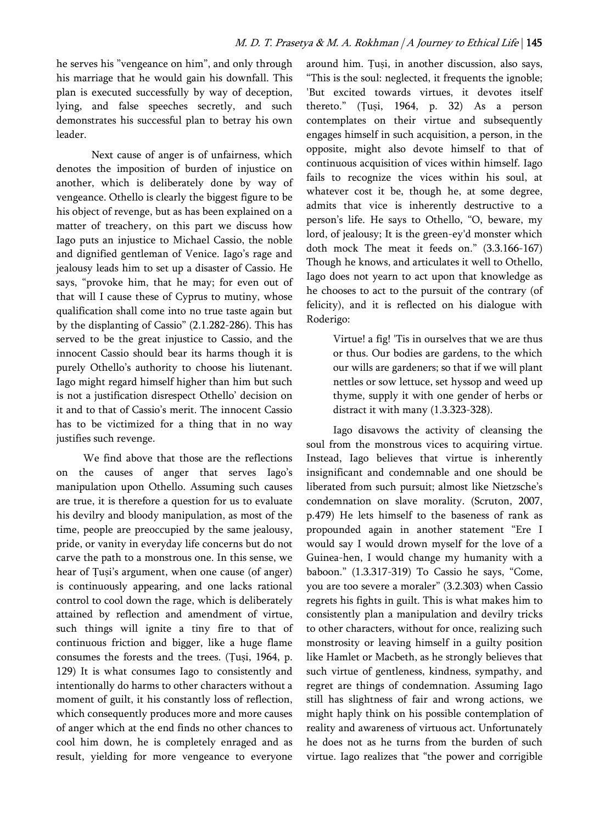he serves his "vengeance on him", and only through his marriage that he would gain his downfall. This plan is executed successfully by way of deception, lying, and false speeches secretly, and such demonstrates his successful plan to betray his own leader.

Next cause of anger is of unfairness, which denotes the imposition of burden of injustice on another, which is deliberately done by way of vengeance. Othello is clearly the biggest figure to be his object of revenge, but as has been explained on a matter of treachery, on this part we discuss how Iago puts an injustice to Michael Cassio, the noble and dignified gentleman of Venice. Iago's rage and jealousy leads him to set up a disaster of Cassio. He says, "provoke him, that he may; for even out of that will I cause these of Cyprus to mutiny, whose qualification shall come into no true taste again but by the displanting of Cassio" (2.1.282-286). This has served to be the great injustice to Cassio, and the innocent Cassio should bear its harms though it is purely Othello's authority to choose his liutenant. Iago might regard himself higher than him but such is not a justification disrespect Othello' decision on it and to that of Cassio's merit. The innocent Cassio has to be victimized for a thing that in no way justifies such revenge.

We find above that those are the reflections on the causes of anger that serves Iago's manipulation upon Othello. Assuming such causes are true, it is therefore a question for us to evaluate his devilry and bloody manipulation, as most of the time, people are preoccupied by the same jealousy, pride, or vanity in everyday life concerns but do not carve the path to a monstrous one. In this sense, we hear of Ṭuṣi's argument, when one cause (of anger) is continuously appearing, and one lacks rational control to cool down the rage, which is deliberately attained by reflection and amendment of virtue, such things will ignite a tiny fire to that of continuous friction and bigger, like a huge flame consumes the forests and the trees. (Ṭuṣi, 1964, p. 129) It is what consumes Iago to consistently and intentionally do harms to other characters without a moment of guilt, it his constantly loss of reflection, which consequently produces more and more causes of anger which at the end finds no other chances to cool him down, he is completely enraged and as result, yielding for more vengeance to everyone around him. Ṭuṣi, in another discussion, also says, "This is the soul: neglected, it frequents the ignoble; 'But excited towards virtues, it devotes itself thereto." (Ṭuṣi, 1964, p. 32) As a person contemplates on their virtue and subsequently engages himself in such acquisition, a person, in the opposite, might also devote himself to that of continuous acquisition of vices within himself. Iago fails to recognize the vices within his soul, at whatever cost it be, though he, at some degree, admits that vice is inherently destructive to a person's life. He says to Othello, "O, beware, my lord, of jealousy; It is the green-ey'd monster which doth mock The meat it feeds on." (3.3.166-167) Though he knows, and articulates it well to Othello, Iago does not yearn to act upon that knowledge as he chooses to act to the pursuit of the contrary (of felicity), and it is reflected on his dialogue with Roderigo:

> Virtue! a fig! 'Tis in ourselves that we are thus or thus. Our bodies are gardens, to the which our wills are gardeners; so that if we will plant nettles or sow lettuce, set hyssop and weed up thyme, supply it with one gender of herbs or distract it with many (1.3.323-328).

Iago disavows the activity of cleansing the soul from the monstrous vices to acquiring virtue. Instead, Iago believes that virtue is inherently insignificant and condemnable and one should be liberated from such pursuit; almost like Nietzsche's condemnation on slave morality. (Scruton, 2007, p.479) He lets himself to the baseness of rank as propounded again in another statement "Ere I would say I would drown myself for the love of a Guinea-hen, I would change my humanity with a baboon." (1.3.317-319) To Cassio he says, "Come, you are too severe a moraler" (3.2.303) when Cassio regrets his fights in guilt. This is what makes him to consistently plan a manipulation and devilry tricks to other characters, without for once, realizing such monstrosity or leaving himself in a guilty position like Hamlet or Macbeth, as he strongly believes that such virtue of gentleness, kindness, sympathy, and regret are things of condemnation. Assuming Iago still has slightness of fair and wrong actions, we might haply think on his possible contemplation of reality and awareness of virtuous act. Unfortunately he does not as he turns from the burden of such virtue. Iago realizes that "the power and corrigible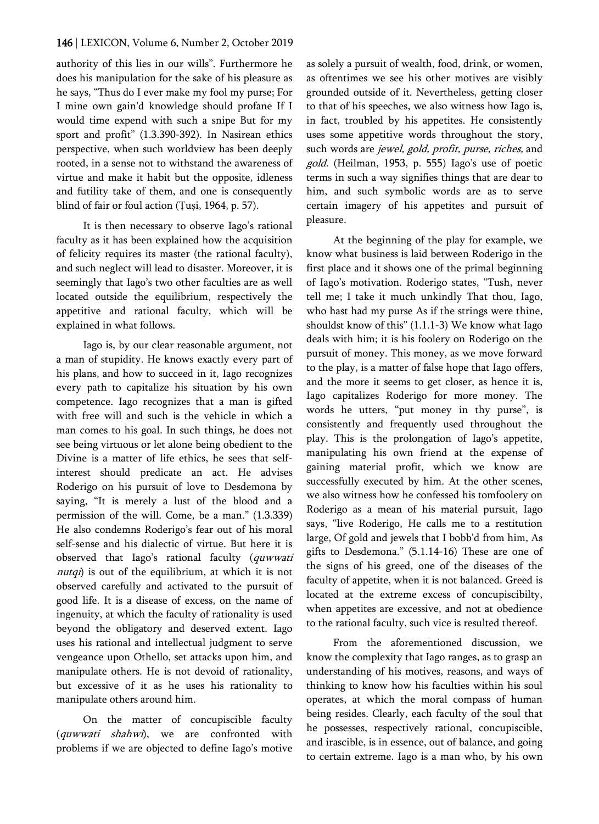authority of this lies in our wills". Furthermore he does his manipulation for the sake of his pleasure as he says, "Thus do I ever make my fool my purse; For I mine own gain'd knowledge should profane If I would time expend with such a snipe But for my sport and profit" (1.3.390-392). In Nasirean ethics perspective, when such worldview has been deeply rooted, in a sense not to withstand the awareness of virtue and make it habit but the opposite, idleness and futility take of them, and one is consequently blind of fair or foul action (Ṭuṣi, 1964, p. 57).

It is then necessary to observe Iago's rational faculty as it has been explained how the acquisition of felicity requires its master (the rational faculty), and such neglect will lead to disaster. Moreover, it is seemingly that Iago's two other faculties are as well located outside the equilibrium, respectively the appetitive and rational faculty, which will be explained in what follows.

Iago is, by our clear reasonable argument, not a man of stupidity. He knows exactly every part of his plans, and how to succeed in it, Iago recognizes every path to capitalize his situation by his own competence. Iago recognizes that a man is gifted with free will and such is the vehicle in which a man comes to his goal. In such things, he does not see being virtuous or let alone being obedient to the Divine is a matter of life ethics, he sees that selfinterest should predicate an act. He advises Roderigo on his pursuit of love to Desdemona by saying, "It is merely a lust of the blood and a permission of the will. Come, be a man." (1.3.339) He also condemns Roderigo's fear out of his moral self-sense and his dialectic of virtue. But here it is observed that Iago's rational faculty (quwwati nutqi) is out of the equilibrium, at which it is not observed carefully and activated to the pursuit of good life. It is a disease of excess, on the name of ingenuity, at which the faculty of rationality is used beyond the obligatory and deserved extent. Iago uses his rational and intellectual judgment to serve vengeance upon Othello, set attacks upon him, and manipulate others. He is not devoid of rationality, but excessive of it as he uses his rationality to manipulate others around him.

On the matter of concupiscible faculty (quwwati shahwi), we are confronted with problems if we are objected to define Iago's motive as solely a pursuit of wealth, food, drink, or women, as oftentimes we see his other motives are visibly grounded outside of it. Nevertheless, getting closer to that of his speeches, we also witness how Iago is, in fact, troubled by his appetites. He consistently uses some appetitive words throughout the story, such words are jewel, gold, profit, purse, riches, and gold. (Heilman, 1953, p. 555) Iago's use of poetic terms in such a way signifies things that are dear to him, and such symbolic words are as to serve certain imagery of his appetites and pursuit of pleasure.

At the beginning of the play for example, we know what business is laid between Roderigo in the first place and it shows one of the primal beginning of Iago's motivation. Roderigo states, "Tush, never tell me; I take it much unkindly That thou, Iago, who hast had my purse As if the strings were thine, shouldst know of this" (1.1.1-3) We know what Iago deals with him; it is his foolery on Roderigo on the pursuit of money. This money, as we move forward to the play, is a matter of false hope that Iago offers, and the more it seems to get closer, as hence it is, Iago capitalizes Roderigo for more money. The words he utters, "put money in thy purse", is consistently and frequently used throughout the play. This is the prolongation of Iago's appetite, manipulating his own friend at the expense of gaining material profit, which we know are successfully executed by him. At the other scenes, we also witness how he confessed his tomfoolery on Roderigo as a mean of his material pursuit, Iago says, "live Roderigo, He calls me to a restitution large, Of gold and jewels that I bobb'd from him, As gifts to Desdemona." (5.1.14-16) These are one of the signs of his greed, one of the diseases of the faculty of appetite, when it is not balanced. Greed is located at the extreme excess of concupiscibilty, when appetites are excessive, and not at obedience to the rational faculty, such vice is resulted thereof.

From the aforementioned discussion, we know the complexity that Iago ranges, as to grasp an understanding of his motives, reasons, and ways of thinking to know how his faculties within his soul operates, at which the moral compass of human being resides. Clearly, each faculty of the soul that he possesses, respectively rational, concupiscible, and irascible, is in essence, out of balance, and going to certain extreme. Iago is a man who, by his own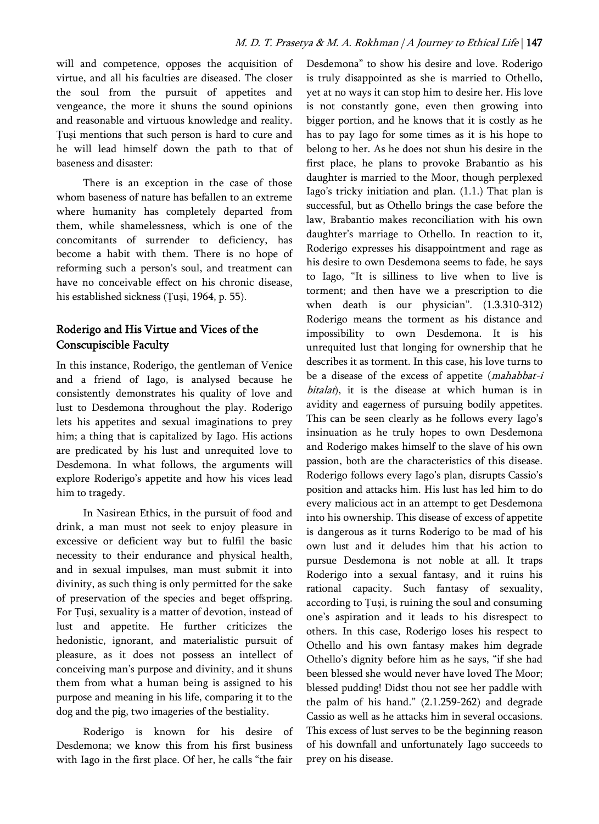will and competence, opposes the acquisition of virtue, and all his faculties are diseased. The closer the soul from the pursuit of appetites and vengeance, the more it shuns the sound opinions and reasonable and virtuous knowledge and reality. Ṭuṣi mentions that such person is hard to cure and he will lead himself down the path to that of baseness and disaster:

There is an exception in the case of those whom baseness of nature has befallen to an extreme where humanity has completely departed from them, while shamelessness, which is one of the concomitants of surrender to deficiency, has become a habit with them. There is no hope of reforming such a person's soul, and treatment can have no conceivable effect on his chronic disease, his established sickness (Tusi, 1964, p. 55).

# Roderigo and His Virtue and Vices of the Conscupiscible Faculty

In this instance, Roderigo, the gentleman of Venice and a friend of Iago, is analysed because he consistently demonstrates his quality of love and lust to Desdemona throughout the play. Roderigo lets his appetites and sexual imaginations to prey him; a thing that is capitalized by Iago. His actions are predicated by his lust and unrequited love to Desdemona. In what follows, the arguments will explore Roderigo's appetite and how his vices lead him to tragedy.

In Nasirean Ethics, in the pursuit of food and drink, a man must not seek to enjoy pleasure in excessive or deficient way but to fulfil the basic necessity to their endurance and physical health, and in sexual impulses, man must submit it into divinity, as such thing is only permitted for the sake of preservation of the species and beget offspring. For Ṭuṣi, sexuality is a matter of devotion, instead of lust and appetite. He further criticizes the hedonistic, ignorant, and materialistic pursuit of pleasure, as it does not possess an intellect of conceiving man's purpose and divinity, and it shuns them from what a human being is assigned to his purpose and meaning in his life, comparing it to the dog and the pig, two imageries of the bestiality.

Roderigo is known for his desire of Desdemona; we know this from his first business with Iago in the first place. Of her, he calls "the fair Desdemona" to show his desire and love. Roderigo is truly disappointed as she is married to Othello, yet at no ways it can stop him to desire her. His love is not constantly gone, even then growing into bigger portion, and he knows that it is costly as he has to pay Iago for some times as it is his hope to belong to her. As he does not shun his desire in the first place, he plans to provoke Brabantio as his daughter is married to the Moor, though perplexed Iago's tricky initiation and plan. (1.1.) That plan is successful, but as Othello brings the case before the law, Brabantio makes reconciliation with his own daughter's marriage to Othello. In reaction to it, Roderigo expresses his disappointment and rage as his desire to own Desdemona seems to fade, he says to Iago, "It is silliness to live when to live is torment; and then have we a prescription to die when death is our physician". (1.3.310-312) Roderigo means the torment as his distance and impossibility to own Desdemona. It is his unrequited lust that longing for ownership that he describes it as torment. In this case, his love turns to be a disease of the excess of appetite (mahabbat-i bitalat), it is the disease at which human is in avidity and eagerness of pursuing bodily appetites. This can be seen clearly as he follows every Iago's insinuation as he truly hopes to own Desdemona and Roderigo makes himself to the slave of his own passion, both are the characteristics of this disease. Roderigo follows every Iago's plan, disrupts Cassio's position and attacks him. His lust has led him to do every malicious act in an attempt to get Desdemona into his ownership. This disease of excess of appetite is dangerous as it turns Roderigo to be mad of his own lust and it deludes him that his action to pursue Desdemona is not noble at all. It traps Roderigo into a sexual fantasy, and it ruins his rational capacity. Such fantasy of sexuality, according to Ṭuṣi, is ruining the soul and consuming one's aspiration and it leads to his disrespect to others. In this case, Roderigo loses his respect to Othello and his own fantasy makes him degrade Othello's dignity before him as he says, "if she had been blessed she would never have loved The Moor; blessed pudding! Didst thou not see her paddle with the palm of his hand." (2.1.259-262) and degrade Cassio as well as he attacks him in several occasions. This excess of lust serves to be the beginning reason of his downfall and unfortunately Iago succeeds to prey on his disease.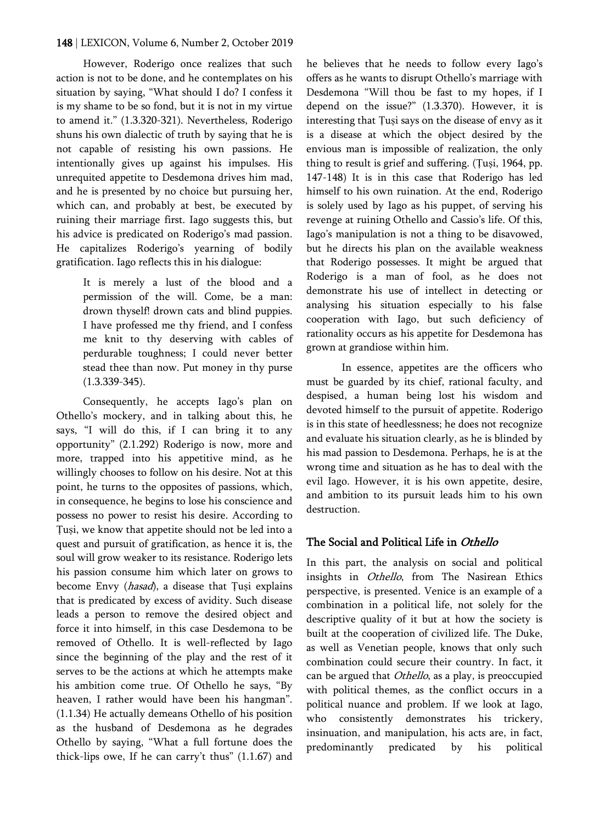However, Roderigo once realizes that such action is not to be done, and he contemplates on his situation by saying, "What should I do? I confess it is my shame to be so fond, but it is not in my virtue to amend it." (1.3.320-321). Nevertheless, Roderigo shuns his own dialectic of truth by saying that he is not capable of resisting his own passions. He intentionally gives up against his impulses. His unrequited appetite to Desdemona drives him mad, and he is presented by no choice but pursuing her, which can, and probably at best, be executed by ruining their marriage first. Iago suggests this, but his advice is predicated on Roderigo's mad passion. He capitalizes Roderigo's yearning of bodily gratification. Iago reflects this in his dialogue:

> It is merely a lust of the blood and a permission of the will. Come, be a man: drown thyself! drown cats and blind puppies. I have professed me thy friend, and I confess me knit to thy deserving with cables of perdurable toughness; I could never better stead thee than now. Put money in thy purse (1.3.339-345).

Consequently, he accepts Iago's plan on Othello's mockery, and in talking about this, he says, "I will do this, if I can bring it to any opportunity" (2.1.292) Roderigo is now, more and more, trapped into his appetitive mind, as he willingly chooses to follow on his desire. Not at this point, he turns to the opposites of passions, which, in consequence, he begins to lose his conscience and possess no power to resist his desire. According to Ṭuṣi, we know that appetite should not be led into a quest and pursuit of gratification, as hence it is, the soul will grow weaker to its resistance. Roderigo lets his passion consume him which later on grows to become Envy (hasad), a disease that Țuși explains that is predicated by excess of avidity. Such disease leads a person to remove the desired object and force it into himself, in this case Desdemona to be removed of Othello. It is well-reflected by Iago since the beginning of the play and the rest of it serves to be the actions at which he attempts make his ambition come true. Of Othello he says, "By heaven, I rather would have been his hangman". (1.1.34) He actually demeans Othello of his position as the husband of Desdemona as he degrades Othello by saying, "What a full fortune does the thick-lips owe, If he can carry't thus" (1.1.67) and he believes that he needs to follow every Iago's offers as he wants to disrupt Othello's marriage with Desdemona "Will thou be fast to my hopes, if I depend on the issue?" (1.3.370). However, it is interesting that Ṭuṣi says on the disease of envy as it is a disease at which the object desired by the envious man is impossible of realization, the only thing to result is grief and suffering. (Ṭuṣi, 1964, pp. 147-148) It is in this case that Roderigo has led himself to his own ruination. At the end, Roderigo is solely used by Iago as his puppet, of serving his revenge at ruining Othello and Cassio's life. Of this, Iago's manipulation is not a thing to be disavowed, but he directs his plan on the available weakness that Roderigo possesses. It might be argued that Roderigo is a man of fool, as he does not demonstrate his use of intellect in detecting or analysing his situation especially to his false cooperation with Iago, but such deficiency of rationality occurs as his appetite for Desdemona has grown at grandiose within him.

In essence, appetites are the officers who must be guarded by its chief, rational faculty, and despised, a human being lost his wisdom and devoted himself to the pursuit of appetite. Roderigo is in this state of heedlessness; he does not recognize and evaluate his situation clearly, as he is blinded by his mad passion to Desdemona. Perhaps, he is at the wrong time and situation as he has to deal with the evil Iago. However, it is his own appetite, desire, and ambition to its pursuit leads him to his own destruction.

#### The Social and Political Life in Othello

In this part, the analysis on social and political insights in Othello, from The Nasirean Ethics perspective, is presented. Venice is an example of a combination in a political life, not solely for the descriptive quality of it but at how the society is built at the cooperation of civilized life. The Duke, as well as Venetian people, knows that only such combination could secure their country. In fact, it can be argued that *Othello*, as a play, is preoccupied with political themes, as the conflict occurs in a political nuance and problem. If we look at Iago, who consistently demonstrates his trickery, insinuation, and manipulation, his acts are, in fact, predominantly predicated by his political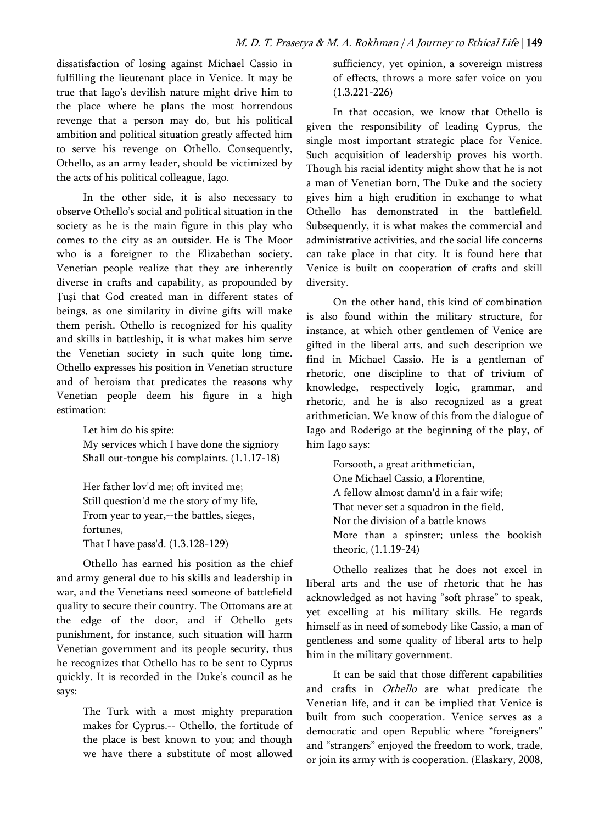dissatisfaction of losing against Michael Cassio in fulfilling the lieutenant place in Venice. It may be true that Iago's devilish nature might drive him to the place where he plans the most horrendous revenge that a person may do, but his political ambition and political situation greatly affected him to serve his revenge on Othello. Consequently, Othello, as an army leader, should be victimized by the acts of his political colleague, Iago.

In the other side, it is also necessary to observe Othello's social and political situation in the society as he is the main figure in this play who comes to the city as an outsider. He is The Moor who is a foreigner to the Elizabethan society. Venetian people realize that they are inherently diverse in crafts and capability, as propounded by Ṭuṣi that God created man in different states of beings, as one similarity in divine gifts will make them perish. Othello is recognized for his quality and skills in battleship, it is what makes him serve the Venetian society in such quite long time. Othello expresses his position in Venetian structure and of heroism that predicates the reasons why Venetian people deem his figure in a high estimation:

> Let him do his spite: My services which I have done the signiory Shall out-tongue his complaints. (1.1.17-18)

Her father lov'd me; oft invited me; Still question'd me the story of my life, From year to year,--the battles, sieges, fortunes, That I have pass'd. (1.3.128-129)

Othello has earned his position as the chief and army general due to his skills and leadership in war, and the Venetians need someone of battlefield quality to secure their country. The Ottomans are at the edge of the door, and if Othello gets punishment, for instance, such situation will harm Venetian government and its people security, thus he recognizes that Othello has to be sent to Cyprus quickly. It is recorded in the Duke's council as he says:

> The Turk with a most mighty preparation makes for Cyprus.-- Othello, the fortitude of the place is best known to you; and though we have there a substitute of most allowed

sufficiency, yet opinion, a sovereign mistress of effects, throws a more safer voice on you (1.3.221-226)

In that occasion, we know that Othello is given the responsibility of leading Cyprus, the single most important strategic place for Venice. Such acquisition of leadership proves his worth. Though his racial identity might show that he is not a man of Venetian born, The Duke and the society gives him a high erudition in exchange to what Othello has demonstrated in the battlefield. Subsequently, it is what makes the commercial and administrative activities, and the social life concerns can take place in that city. It is found here that Venice is built on cooperation of crafts and skill diversity.

On the other hand, this kind of combination is also found within the military structure, for instance, at which other gentlemen of Venice are gifted in the liberal arts, and such description we find in Michael Cassio. He is a gentleman of rhetoric, one discipline to that of trivium of knowledge, respectively logic, grammar, and rhetoric, and he is also recognized as a great arithmetician. We know of this from the dialogue of Iago and Roderigo at the beginning of the play, of him Iago says:

> Forsooth, a great arithmetician, One Michael Cassio, a Florentine, A fellow almost damn'd in a fair wife; That never set a squadron in the field, Nor the division of a battle knows More than a spinster; unless the bookish theoric, (1.1.19-24)

Othello realizes that he does not excel in liberal arts and the use of rhetoric that he has acknowledged as not having "soft phrase" to speak, yet excelling at his military skills. He regards himself as in need of somebody like Cassio, a man of gentleness and some quality of liberal arts to help him in the military government.

It can be said that those different capabilities and crafts in Othello are what predicate the Venetian life, and it can be implied that Venice is built from such cooperation. Venice serves as a democratic and open Republic where "foreigners" and "strangers" enjoyed the freedom to work, trade, or join its army with is cooperation. (Elaskary, 2008,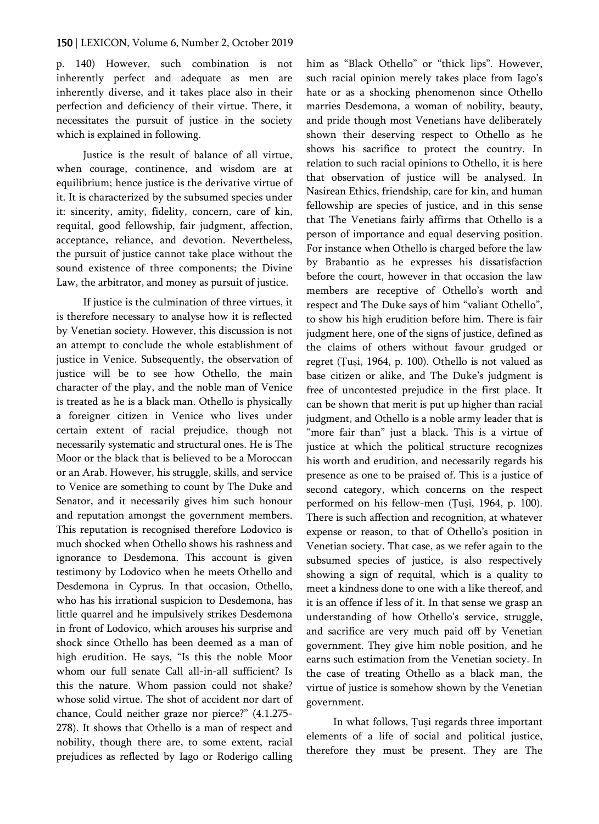p. 140) However, such combination is not inherently perfect and adequate as men are inherently diverse, and it takes place also in their perfection and deficiency of their virtue. There, it necessitates the pursuit of justice in the society which is explained in following.

Justice is the result of balance of all virtue, when courage, continence, and wisdom are at equilibrium; hence justice is the derivative virtue of it. It is characterized by the subsumed species under it: sincerity, amity, fidelity, concern, care of kin, requital, good fellowship, fair judgment, affection, acceptance, reliance, and devotion. Nevertheless, the pursuit of justice cannot take place without the sound existence of three components; the Divine Law, the arbitrator, and money as pursuit of justice.

If justice is the culmination of three virtues, it is therefore necessary to analyse how it is reflected by Venetian society. However, this discussion is not an attempt to conclude the whole establishment of justice in Venice. Subsequently, the observation of justice will be to see how Othello, the main character of the play, and the noble man of Venice is treated as he is a black man. Othello is physically a foreigner citizen in Venice who lives under certain extent of racial prejudice, though not necessarily systematic and structural ones. He is The Moor or the black that is believed to be a Moroccan or an Arab. However, his struggle, skills, and service to Venice are something to count by The Duke and Senator, and it necessarily gives him such honour and reputation amongst the government members. This reputation is recognised therefore Lodovico is much shocked when Othello shows his rashness and ignorance to Desdemona. This account is given testimony by Lodovico when he meets Othello and Desdemona in Cyprus. In that occasion, Othello, who has his irrational suspicion to Desdemona, has little quarrel and he impulsively strikes Desdemona in front of Lodovico, which arouses his surprise and shock since Othello has been deemed as a man of high erudition. He says, "Is this the noble Moor whom our full senate Call all-in-all sufficient? Is this the nature. Whom passion could not shake? whose solid virtue. The shot of accident nor dart of chance, Could neither graze nor pierce?" (4.1.275- 278). It shows that Othello is a man of respect and nobility, though there are, to some extent, racial prejudices as reflected by Iago or Roderigo calling

him as "Black Othello" or "thick lips". However, such racial opinion merely takes place from Iago's hate or as a shocking phenomenon since Othello marries Desdemona, a woman of nobility, beauty, and pride though most Venetians have deliberately shown their deserving respect to Othello as he shows his sacrifice to protect the country. In relation to such racial opinions to Othello, it is here that observation of justice will be analysed. In Nasirean Ethics, friendship, care for kin, and human fellowship are species of justice, and in this sense that The Venetians fairly affirms that Othello is a person of importance and equal deserving position. For instance when Othello is charged before the law by Brabantio as he expresses his dissatisfaction before the court, however in that occasion the law members are receptive of Othello's worth and respect and The Duke says of him "valiant Othello", to show his high erudition before him. There is fair judgment here, one of the signs of justice, defined as the claims of others without favour grudged or regret (Ṭuṣi, 1964, p. 100). Othello is not valued as base citizen or alike, and The Duke's judgment is free of uncontested prejudice in the first place. It can be shown that merit is put up higher than racial judgment, and Othello is a noble army leader that is "more fair than" just a black. This is a virtue of justice at which the political structure recognizes his worth and erudition, and necessarily regards his presence as one to be praised of. This is a justice of second category, which concerns on the respect performed on his fellow-men (Ṭuṣi, 1964, p. 100). There is such affection and recognition, at whatever expense or reason, to that of Othello's position in Venetian society. That case, as we refer again to the subsumed species of justice, is also respectively showing a sign of requital, which is a quality to meet a kindness done to one with a like thereof, and it is an offence if less of it. In that sense we grasp an understanding of how Othello's service, struggle, and sacrifice are very much paid off by Venetian government. They give him noble position, and he earns such estimation from the Venetian society. In the case of treating Othello as a black man, the virtue of justice is somehow shown by the Venetian government.

In what follows, Ṭuṣi regards three important elements of a life of social and political justice, therefore they must be present. They are The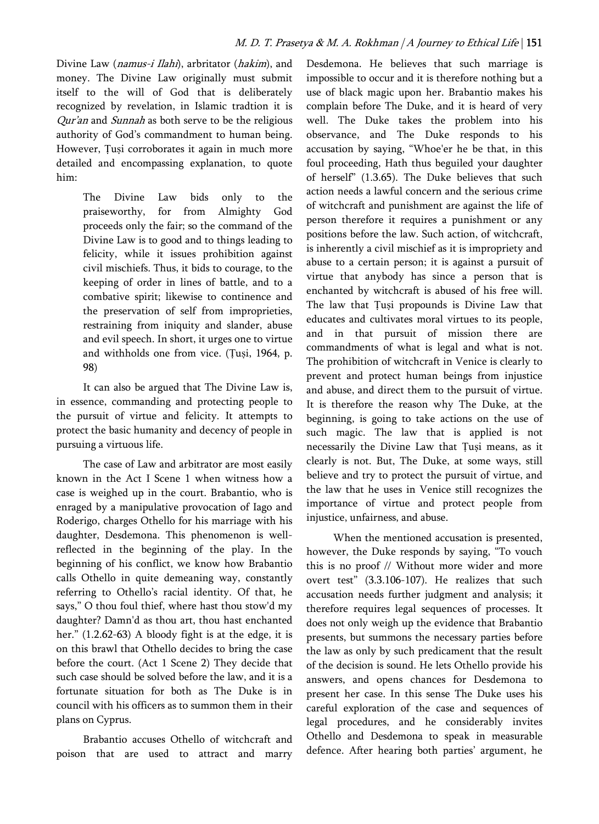Divine Law (namus-i Ilahi), arbritator (hakim), and money. The Divine Law originally must submit itself to the will of God that is deliberately recognized by revelation, in Islamic tradtion it is Qur'an and Sunnah as both serve to be the religious authority of God's commandment to human being. However, Tusi corroborates it again in much more detailed and encompassing explanation, to quote him:

> The Divine Law bids only to the praiseworthy, for from Almighty God proceeds only the fair; so the command of the Divine Law is to good and to things leading to felicity, while it issues prohibition against civil mischiefs. Thus, it bids to courage, to the keeping of order in lines of battle, and to a combative spirit; likewise to continence and the preservation of self from improprieties, restraining from iniquity and slander, abuse and evil speech. In short, it urges one to virtue and withholds one from vice. (Ṭuṣi, 1964, p. 98)

It can also be argued that The Divine Law is, in essence, commanding and protecting people to the pursuit of virtue and felicity. It attempts to protect the basic humanity and decency of people in pursuing a virtuous life.

The case of Law and arbitrator are most easily known in the Act I Scene 1 when witness how a case is weighed up in the court. Brabantio, who is enraged by a manipulative provocation of Iago and Roderigo, charges Othello for his marriage with his daughter, Desdemona. This phenomenon is wellreflected in the beginning of the play. In the beginning of his conflict, we know how Brabantio calls Othello in quite demeaning way, constantly referring to Othello's racial identity. Of that, he says," O thou foul thief, where hast thou stow'd my daughter? Damn'd as thou art, thou hast enchanted her." (1.2.62-63) A bloody fight is at the edge, it is on this brawl that Othello decides to bring the case before the court. (Act 1 Scene 2) They decide that such case should be solved before the law, and it is a fortunate situation for both as The Duke is in council with his officers as to summon them in their plans on Cyprus.

Brabantio accuses Othello of witchcraft and poison that are used to attract and marry Desdemona. He believes that such marriage is impossible to occur and it is therefore nothing but a use of black magic upon her. Brabantio makes his complain before The Duke, and it is heard of very well. The Duke takes the problem into his observance, and The Duke responds to his accusation by saying, "Whoe'er he be that, in this foul proceeding, Hath thus beguiled your daughter of herself" (1.3.65). The Duke believes that such action needs a lawful concern and the serious crime of witchcraft and punishment are against the life of person therefore it requires a punishment or any positions before the law. Such action, of witchcraft, is inherently a civil mischief as it is impropriety and abuse to a certain person; it is against a pursuit of virtue that anybody has since a person that is enchanted by witchcraft is abused of his free will. The law that Ṭuṣi propounds is Divine Law that educates and cultivates moral virtues to its people, and in that pursuit of mission there are commandments of what is legal and what is not. The prohibition of witchcraft in Venice is clearly to prevent and protect human beings from injustice and abuse, and direct them to the pursuit of virtue. It is therefore the reason why The Duke, at the beginning, is going to take actions on the use of such magic. The law that is applied is not necessarily the Divine Law that Ṭuṣi means, as it clearly is not. But, The Duke, at some ways, still believe and try to protect the pursuit of virtue, and the law that he uses in Venice still recognizes the importance of virtue and protect people from injustice, unfairness, and abuse.

When the mentioned accusation is presented, however, the Duke responds by saying, "To vouch this is no proof // Without more wider and more overt test" (3.3.106-107). He realizes that such accusation needs further judgment and analysis; it therefore requires legal sequences of processes. It does not only weigh up the evidence that Brabantio presents, but summons the necessary parties before the law as only by such predicament that the result of the decision is sound. He lets Othello provide his answers, and opens chances for Desdemona to present her case. In this sense The Duke uses his careful exploration of the case and sequences of legal procedures, and he considerably invites Othello and Desdemona to speak in measurable defence. After hearing both parties' argument, he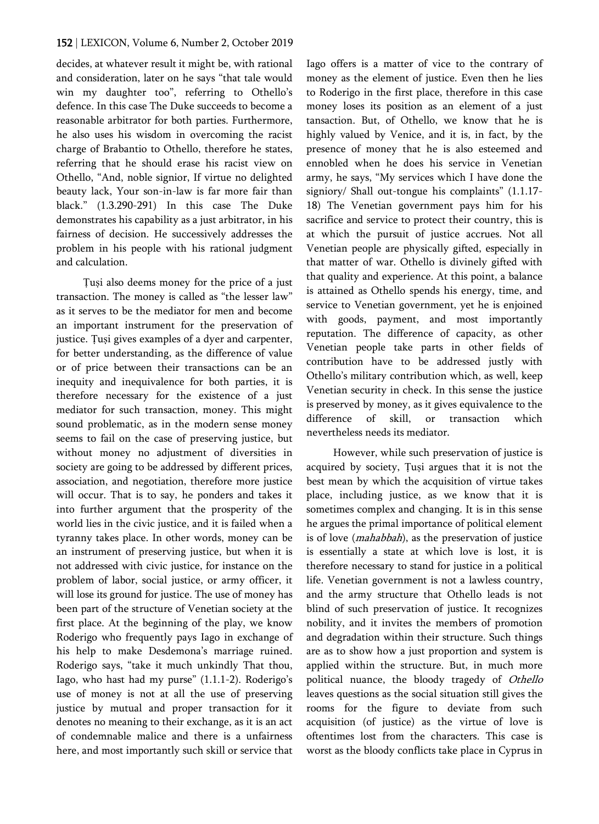decides, at whatever result it might be, with rational and consideration, later on he says "that tale would win my daughter too", referring to Othello's defence. In this case The Duke succeeds to become a reasonable arbitrator for both parties. Furthermore, he also uses his wisdom in overcoming the racist charge of Brabantio to Othello, therefore he states, referring that he should erase his racist view on Othello, "And, noble signior, If virtue no delighted beauty lack, Your son-in-law is far more fair than black." (1.3.290-291) In this case The Duke demonstrates his capability as a just arbitrator, in his fairness of decision. He successively addresses the problem in his people with his rational judgment and calculation.

Ṭuṣi also deems money for the price of a just transaction. The money is called as "the lesser law" as it serves to be the mediator for men and become an important instrument for the preservation of justice. Tuși gives examples of a dyer and carpenter, for better understanding, as the difference of value or of price between their transactions can be an inequity and inequivalence for both parties, it is therefore necessary for the existence of a just mediator for such transaction, money. This might sound problematic, as in the modern sense money seems to fail on the case of preserving justice, but without money no adjustment of diversities in society are going to be addressed by different prices, association, and negotiation, therefore more justice will occur. That is to say, he ponders and takes it into further argument that the prosperity of the world lies in the civic justice, and it is failed when a tyranny takes place. In other words, money can be an instrument of preserving justice, but when it is not addressed with civic justice, for instance on the problem of labor, social justice, or army officer, it will lose its ground for justice. The use of money has been part of the structure of Venetian society at the first place. At the beginning of the play, we know Roderigo who frequently pays Iago in exchange of his help to make Desdemona's marriage ruined. Roderigo says, "take it much unkindly That thou, Iago, who hast had my purse" (1.1.1-2). Roderigo's use of money is not at all the use of preserving justice by mutual and proper transaction for it denotes no meaning to their exchange, as it is an act of condemnable malice and there is a unfairness here, and most importantly such skill or service that Iago offers is a matter of vice to the contrary of money as the element of justice. Even then he lies to Roderigo in the first place, therefore in this case money loses its position as an element of a just tansaction. But, of Othello, we know that he is highly valued by Venice, and it is, in fact, by the presence of money that he is also esteemed and ennobled when he does his service in Venetian army, he says, "My services which I have done the signiory/ Shall out-tongue his complaints" (1.1.17-18) The Venetian government pays him for his sacrifice and service to protect their country, this is at which the pursuit of justice accrues. Not all Venetian people are physically gifted, especially in that matter of war. Othello is divinely gifted with that quality and experience. At this point, a balance is attained as Othello spends his energy, time, and service to Venetian government, yet he is enjoined with goods, payment, and most importantly reputation. The difference of capacity, as other Venetian people take parts in other fields of contribution have to be addressed justly with Othello's military contribution which, as well, keep Venetian security in check. In this sense the justice is preserved by money, as it gives equivalence to the difference of skill, or transaction which nevertheless needs its mediator.

However, while such preservation of justice is acquired by society, Ṭuṣi argues that it is not the best mean by which the acquisition of virtue takes place, including justice, as we know that it is sometimes complex and changing. It is in this sense he argues the primal importance of political element is of love (*mahabbah*), as the preservation of justice is essentially a state at which love is lost, it is therefore necessary to stand for justice in a political life. Venetian government is not a lawless country, and the army structure that Othello leads is not blind of such preservation of justice. It recognizes nobility, and it invites the members of promotion and degradation within their structure. Such things are as to show how a just proportion and system is applied within the structure. But, in much more political nuance, the bloody tragedy of Othello leaves questions as the social situation still gives the rooms for the figure to deviate from such acquisition (of justice) as the virtue of love is oftentimes lost from the characters. This case is worst as the bloody conflicts take place in Cyprus in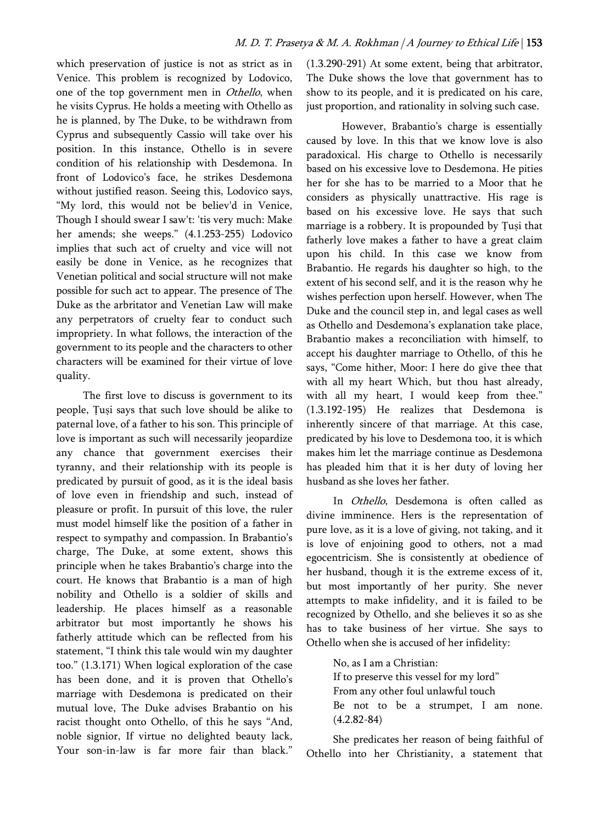which preservation of justice is not as strict as in Venice. This problem is recognized by Lodovico, one of the top government men in Othello, when he visits Cyprus. He holds a meeting with Othello as he is planned, by The Duke, to be withdrawn from Cyprus and subsequently Cassio will take over his position. In this instance, Othello is in severe condition of his relationship with Desdemona. In front of Lodovico's face, he strikes Desdemona without justified reason. Seeing this, Lodovico says, "My lord, this would not be believ'd in Venice, Though I should swear I saw't: 'tis very much: Make her amends; she weeps." (4.1.253-255) Lodovico implies that such act of cruelty and vice will not easily be done in Venice, as he recognizes that Venetian political and social structure will not make possible for such act to appear. The presence of The Duke as the arbritator and Venetian Law will make any perpetrators of cruelty fear to conduct such impropriety. In what follows, the interaction of the government to its people and the characters to other characters will be examined for their virtue of love quality.

The first love to discuss is government to its people, Ṭuṣi says that such love should be alike to paternal love, of a father to his son. This principle of love is important as such will necessarily jeopardize any chance that government exercises their tyranny, and their relationship with its people is predicated by pursuit of good, as it is the ideal basis of love even in friendship and such, instead of pleasure or profit. In pursuit of this love, the ruler must model himself like the position of a father in respect to sympathy and compassion. In Brabantio's charge, The Duke, at some extent, shows this principle when he takes Brabantio's charge into the court. He knows that Brabantio is a man of high nobility and Othello is a soldier of skills and leadership. He places himself as a reasonable arbitrator but most importantly he shows his fatherly attitude which can be reflected from his statement, "I think this tale would win my daughter too." (1.3.171) When logical exploration of the case has been done, and it is proven that Othello's marriage with Desdemona is predicated on their mutual love, The Duke advises Brabantio on his racist thought onto Othello, of this he says "And, noble signior, If virtue no delighted beauty lack, Your son-in-law is far more fair than black."

(1.3.290-291) At some extent, being that arbitrator, The Duke shows the love that government has to show to its people, and it is predicated on his care, just proportion, and rationality in solving such case.

However, Brabantio's charge is essentially caused by love. In this that we know love is also paradoxical. His charge to Othello is necessarily based on his excessive love to Desdemona. He pities her for she has to be married to a Moor that he considers as physically unattractive. His rage is based on his excessive love. He says that such marriage is a robbery. It is propounded by Tusi that fatherly love makes a father to have a great claim upon his child. In this case we know from Brabantio. He regards his daughter so high, to the extent of his second self, and it is the reason why he wishes perfection upon herself. However, when The Duke and the council step in, and legal cases as well as Othello and Desdemona's explanation take place, Brabantio makes a reconciliation with himself, to accept his daughter marriage to Othello, of this he says, "Come hither, Moor: I here do give thee that with all my heart Which, but thou hast already, with all my heart, I would keep from thee." (1.3.192-195) He realizes that Desdemona is inherently sincere of that marriage. At this case, predicated by his love to Desdemona too, it is which makes him let the marriage continue as Desdemona has pleaded him that it is her duty of loving her husband as she loves her father.

In Othello, Desdemona is often called as divine imminence. Hers is the representation of pure love, as it is a love of giving, not taking, and it is love of enjoining good to others, not a mad egocentricism. She is consistently at obedience of her husband, though it is the extreme excess of it, but most importantly of her purity. She never attempts to make infidelity, and it is failed to be recognized by Othello, and she believes it so as she has to take business of her virtue. She says to Othello when she is accused of her infidelity:

> No, as I am a Christian: If to preserve this vessel for my lord" From any other foul unlawful touch Be not to be a strumpet, I am none. (4.2.82-84)

She predicates her reason of being faithful of Othello into her Christianity, a statement that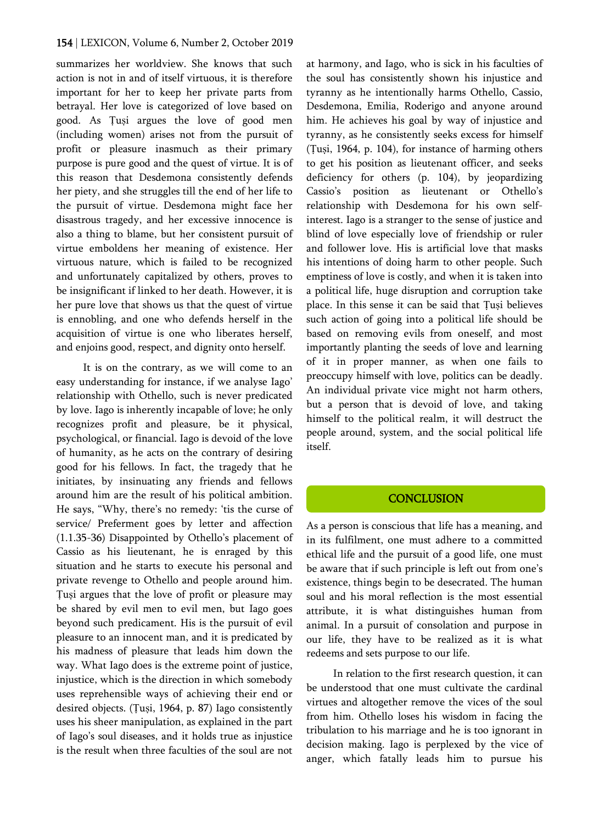summarizes her worldview. She knows that such action is not in and of itself virtuous, it is therefore important for her to keep her private parts from betrayal. Her love is categorized of love based on good. As Ṭuṣi argues the love of good men (including women) arises not from the pursuit of profit or pleasure inasmuch as their primary purpose is pure good and the quest of virtue. It is of this reason that Desdemona consistently defends her piety, and she struggles till the end of her life to the pursuit of virtue. Desdemona might face her disastrous tragedy, and her excessive innocence is also a thing to blame, but her consistent pursuit of virtue emboldens her meaning of existence. Her virtuous nature, which is failed to be recognized and unfortunately capitalized by others, proves to be insignificant if linked to her death. However, it is her pure love that shows us that the quest of virtue is ennobling, and one who defends herself in the acquisition of virtue is one who liberates herself, and enjoins good, respect, and dignity onto herself.

It is on the contrary, as we will come to an easy understanding for instance, if we analyse Iago' relationship with Othello, such is never predicated by love. Iago is inherently incapable of love; he only recognizes profit and pleasure, be it physical, psychological, or financial. Iago is devoid of the love of humanity, as he acts on the contrary of desiring good for his fellows. In fact, the tragedy that he initiates, by insinuating any friends and fellows around him are the result of his political ambition. He says, "Why, there's no remedy: 'tis the curse of service/ Preferment goes by letter and affection (1.1.35-36) Disappointed by Othello's placement of Cassio as his lieutenant, he is enraged by this situation and he starts to execute his personal and private revenge to Othello and people around him. Ṭuṣi argues that the love of profit or pleasure may be shared by evil men to evil men, but Iago goes beyond such predicament. His is the pursuit of evil pleasure to an innocent man, and it is predicated by his madness of pleasure that leads him down the way. What Iago does is the extreme point of justice, injustice, which is the direction in which somebody uses reprehensible ways of achieving their end or desired objects. (Ṭuṣi, 1964, p. 87) Iago consistently uses his sheer manipulation, as explained in the part of Iago's soul diseases, and it holds true as injustice is the result when three faculties of the soul are not

at harmony, and Iago, who is sick in his faculties of the soul has consistently shown his injustice and tyranny as he intentionally harms Othello, Cassio, Desdemona, Emilia, Roderigo and anyone around him. He achieves his goal by way of injustice and tyranny, as he consistently seeks excess for himself (Ṭuṣi, 1964, p. 104), for instance of harming others to get his position as lieutenant officer, and seeks deficiency for others (p. 104), by jeopardizing Cassio's position as lieutenant or Othello's relationship with Desdemona for his own selfinterest. Iago is a stranger to the sense of justice and blind of love especially love of friendship or ruler and follower love. His is artificial love that masks his intentions of doing harm to other people. Such emptiness of love is costly, and when it is taken into a political life, huge disruption and corruption take place. In this sense it can be said that Ṭuṣi believes such action of going into a political life should be based on removing evils from oneself, and most importantly planting the seeds of love and learning of it in proper manner, as when one fails to preoccupy himself with love, politics can be deadly. An individual private vice might not harm others, but a person that is devoid of love, and taking himself to the political realm, it will destruct the people around, system, and the social political life itself.

# **CONCLUSION**

As a person is conscious that life has a meaning, and in its fulfilment, one must adhere to a committed ethical life and the pursuit of a good life, one must be aware that if such principle is left out from one's existence, things begin to be desecrated. The human soul and his moral reflection is the most essential attribute, it is what distinguishes human from animal. In a pursuit of consolation and purpose in our life, they have to be realized as it is what redeems and sets purpose to our life.

In relation to the first research question, it can be understood that one must cultivate the cardinal virtues and altogether remove the vices of the soul from him. Othello loses his wisdom in facing the tribulation to his marriage and he is too ignorant in decision making. Iago is perplexed by the vice of anger, which fatally leads him to pursue his